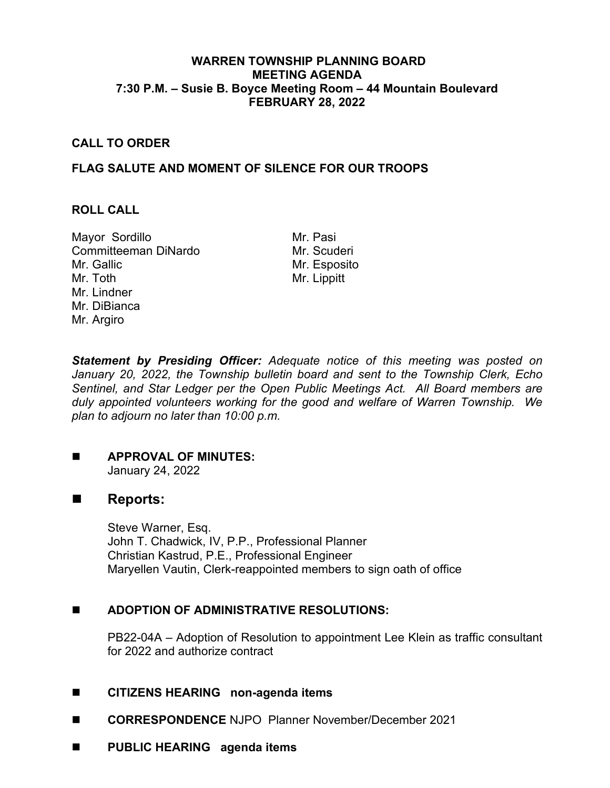## **WARREN TOWNSHIP PLANNING BOARD MEETING AGENDA 7:30 P.M. – Susie B. Boyce Meeting Room – 44 Mountain Boulevard FEBRUARY 28, 2022**

## **CALL TO ORDER**

# **FLAG SALUTE AND MOMENT OF SILENCE FOR OUR TROOPS**

#### **ROLL CALL**

Mayor Sordillo Mr. Pasi Committeeman DiNardo Mr. Scuderi Mr. Gallic Mr. Toth Mr. Lindner Mr. DiBianca Mr. Argiro

Mr. Esposito Mr. Lippitt

*Statement by Presiding Officer: Adequate notice of this meeting was posted on January 20, 2022, the Township bulletin board and sent to the Township Clerk, Echo Sentinel, and Star Ledger per the Open Public Meetings Act. All Board members are duly appointed volunteers working for the good and welfare of Warren Township. We plan to adjourn no later than 10:00 p.m.*

# **APPROVAL OF MINUTES:**

January 24, 2022

# ■ Reports:

Steve Warner, Esq. John T. Chadwick, IV, P.P., Professional Planner Christian Kastrud, P.E., Professional Engineer Maryellen Vautin, Clerk-reappointed members to sign oath of office

### **ADOPTION OF ADMINISTRATIVE RESOLUTIONS:**

PB22-04A – Adoption of Resolution to appointment Lee Klein as traffic consultant for 2022 and authorize contract

### **CITIZENS HEARING non-agenda items**

- **CORRESPONDENCE** NJPO Planner November/December 2021
- **PUBLIC HEARING agenda items**